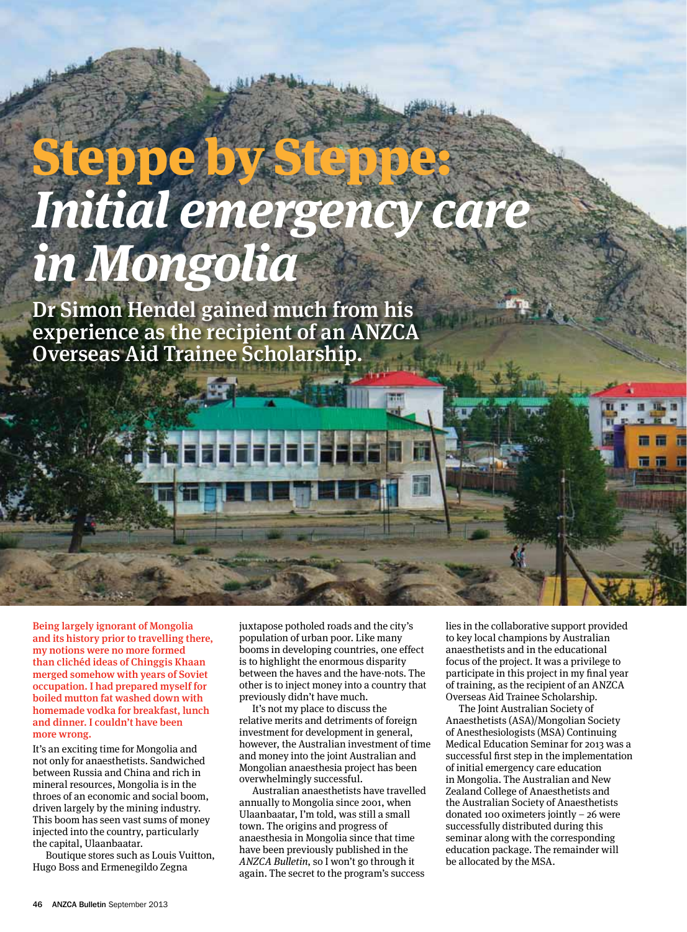## Steppe by S **Initial emergency care in Mongolia**

Dr Simon Hendel gained much from his experience as the recipient of an ANZCA Overseas Aid Trainee Scholarship.

Being largely ignorant of Mongolia and its history prior to travelling there, my notions were no more formed than clichéd ideas of Chinggis Khaan merged somehow with years of Soviet occupation. I had prepared myself for boiled mutton fat washed down with homemade vodka for breakfast, lunch and dinner. I couldn't have been more wrong.

It's an exciting time for Mongolia and not only for anaesthetists. Sandwiched between Russia and China and rich in mineral resources, Mongolia is in the throes of an economic and social boom, driven largely by the mining industry. This boom has seen vast sums of money injected into the country, particularly the capital, Ulaanbaatar.

Boutique stores such as Louis Vuitton, Hugo Boss and Ermenegildo Zegna

juxtapose potholed roads and the city's population of urban poor. Like many booms in developing countries, one effect is to highlight the enormous disparity between the haves and the have-nots. The other is to inject money into a country that previously didn't have much.

It's not my place to discuss the relative merits and detriments of foreign investment for development in general, however, the Australian investment of time and money into the joint Australian and Mongolian anaesthesia project has been overwhelmingly successful.

Australian anaesthetists have travelled annually to Mongolia since 2001, when Ulaanbaatar, I'm told, was still a small town. The origins and progress of anaesthesia in Mongolia since that time have been previously published in the ANZCA Bulletin, so I won't go through it again. The secret to the program's success

lies in the collaborative support provided to key local champions by Australian anaesthetists and in the educational focus of the project. It was a privilege to participate in this project in my final year of training, as the recipient of an ANZCA Overseas Aid Trainee Scholarship.

The Joint Australian Society of Anaesthetists (ASA)/Mongolian Society of Anesthesiologists (MSA) Continuing Medical Education Seminar for 2013 was a successful first step in the implementation of initial emergency care education in Mongolia. The Australian and New Zealand College of Anaesthetists and the Australian Society of Anaesthetists donated 100 oximeters jointly – 26 were successfully distributed during this seminar along with the corresponding education package. The remainder will be allocated by the MSA.